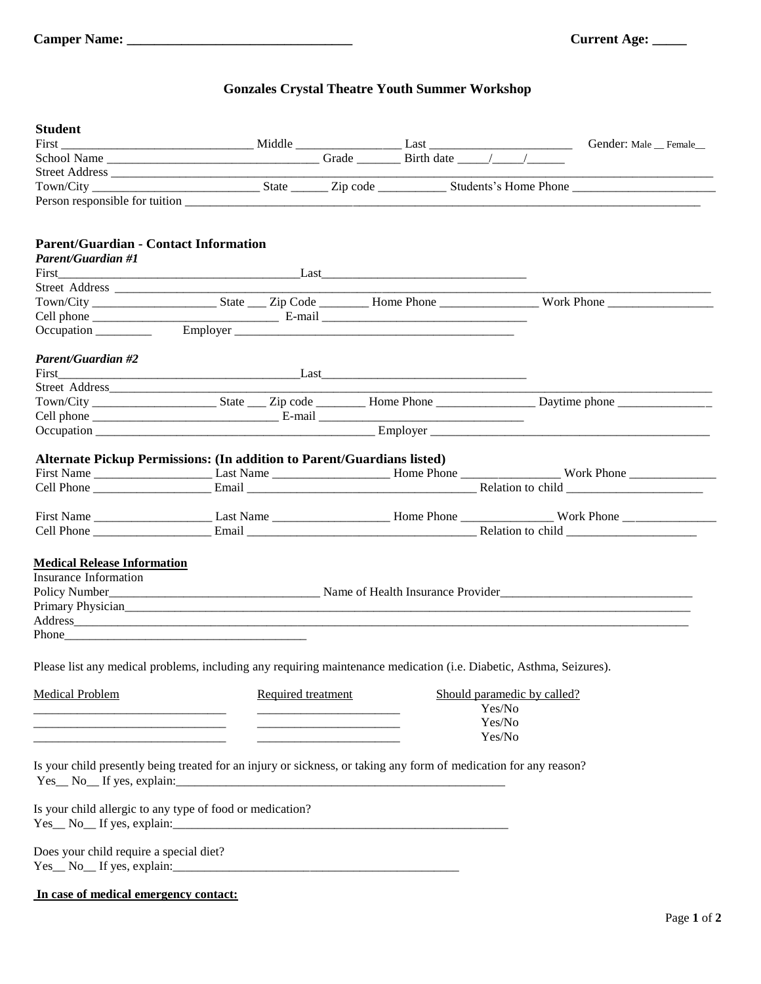## **Gonzales Crystal Theatre Youth Summer Workshop**

| <b>Student</b>                                                                                                        |                                                                                                                                                                                                                                      |  |        |        |                             |                        |
|-----------------------------------------------------------------------------------------------------------------------|--------------------------------------------------------------------------------------------------------------------------------------------------------------------------------------------------------------------------------------|--|--------|--------|-----------------------------|------------------------|
|                                                                                                                       |                                                                                                                                                                                                                                      |  |        |        |                             | Gender: Male _ Female_ |
|                                                                                                                       |                                                                                                                                                                                                                                      |  |        |        |                             |                        |
| Street Address                                                                                                        |                                                                                                                                                                                                                                      |  |        |        |                             |                        |
|                                                                                                                       |                                                                                                                                                                                                                                      |  |        |        |                             |                        |
|                                                                                                                       |                                                                                                                                                                                                                                      |  |        |        |                             |                        |
| <b>Parent/Guardian - Contact Information</b>                                                                          |                                                                                                                                                                                                                                      |  |        |        |                             |                        |
| <b>Parent/Guardian #1</b>                                                                                             |                                                                                                                                                                                                                                      |  |        |        |                             |                        |
|                                                                                                                       | <u>First Last Last Last Last Communications and Last Communications and Last Communications and Last Communications and Last Communications and Last Communications and Last Communications and Last Communications and Last Com</u> |  |        |        |                             |                        |
|                                                                                                                       |                                                                                                                                                                                                                                      |  |        |        |                             |                        |
|                                                                                                                       |                                                                                                                                                                                                                                      |  |        |        |                             |                        |
|                                                                                                                       |                                                                                                                                                                                                                                      |  |        |        |                             |                        |
|                                                                                                                       |                                                                                                                                                                                                                                      |  |        |        |                             |                        |
| <b>Parent/Guardian #2</b>                                                                                             |                                                                                                                                                                                                                                      |  |        |        |                             |                        |
|                                                                                                                       |                                                                                                                                                                                                                                      |  |        |        |                             |                        |
|                                                                                                                       |                                                                                                                                                                                                                                      |  |        |        |                             |                        |
|                                                                                                                       |                                                                                                                                                                                                                                      |  |        |        |                             |                        |
|                                                                                                                       |                                                                                                                                                                                                                                      |  |        |        |                             |                        |
|                                                                                                                       |                                                                                                                                                                                                                                      |  |        |        |                             |                        |
|                                                                                                                       | Alternate Pickup Permissions: (In addition to Parent/Guardians listed)                                                                                                                                                               |  |        |        |                             |                        |
|                                                                                                                       |                                                                                                                                                                                                                                      |  |        |        |                             |                        |
|                                                                                                                       |                                                                                                                                                                                                                                      |  |        |        |                             |                        |
|                                                                                                                       |                                                                                                                                                                                                                                      |  |        |        |                             |                        |
|                                                                                                                       |                                                                                                                                                                                                                                      |  |        |        |                             |                        |
|                                                                                                                       |                                                                                                                                                                                                                                      |  |        |        |                             |                        |
| <b>Medical Release Information</b>                                                                                    |                                                                                                                                                                                                                                      |  |        |        |                             |                        |
| Insurance Information                                                                                                 |                                                                                                                                                                                                                                      |  |        |        |                             |                        |
|                                                                                                                       |                                                                                                                                                                                                                                      |  |        |        |                             |                        |
|                                                                                                                       |                                                                                                                                                                                                                                      |  |        |        |                             |                        |
|                                                                                                                       |                                                                                                                                                                                                                                      |  |        |        |                             |                        |
|                                                                                                                       |                                                                                                                                                                                                                                      |  |        |        |                             |                        |
|                                                                                                                       | Please list any medical problems, including any requiring maintenance medication (i.e. Diabetic, Asthma, Seizures).                                                                                                                  |  |        |        |                             |                        |
| <b>Medical Problem</b>                                                                                                | Required treatment                                                                                                                                                                                                                   |  |        |        | Should paramedic by called? |                        |
|                                                                                                                       |                                                                                                                                                                                                                                      |  | Yes/No |        |                             |                        |
|                                                                                                                       |                                                                                                                                                                                                                                      |  |        | Yes/No |                             |                        |
| <u> 1989 - Johann Barbara, martin da kasar Amerikaan kasar dalam kasar dalam kasar dalam kasar dalam kasar dalam </u> | <u> 1989 - Johann Barbara, martin amerikan basa</u>                                                                                                                                                                                  |  |        | Yes/No |                             |                        |
|                                                                                                                       | Is your child presently being treated for an injury or sickness, or taking any form of medication for any reason?                                                                                                                    |  |        |        |                             |                        |
|                                                                                                                       | $Yes$ No If yes, explain:                                                                                                                                                                                                            |  |        |        |                             |                        |
| Is your child allergic to any type of food or medication?                                                             |                                                                                                                                                                                                                                      |  |        |        |                             |                        |
|                                                                                                                       |                                                                                                                                                                                                                                      |  |        |        |                             |                        |
| Does your child require a special diet?                                                                               |                                                                                                                                                                                                                                      |  |        |        |                             |                        |
|                                                                                                                       | $Yes_ No_ If yes, explain:$                                                                                                                                                                                                          |  |        |        |                             |                        |
| In case of medical emergency contact:                                                                                 |                                                                                                                                                                                                                                      |  |        |        |                             |                        |
|                                                                                                                       |                                                                                                                                                                                                                                      |  |        |        |                             |                        |